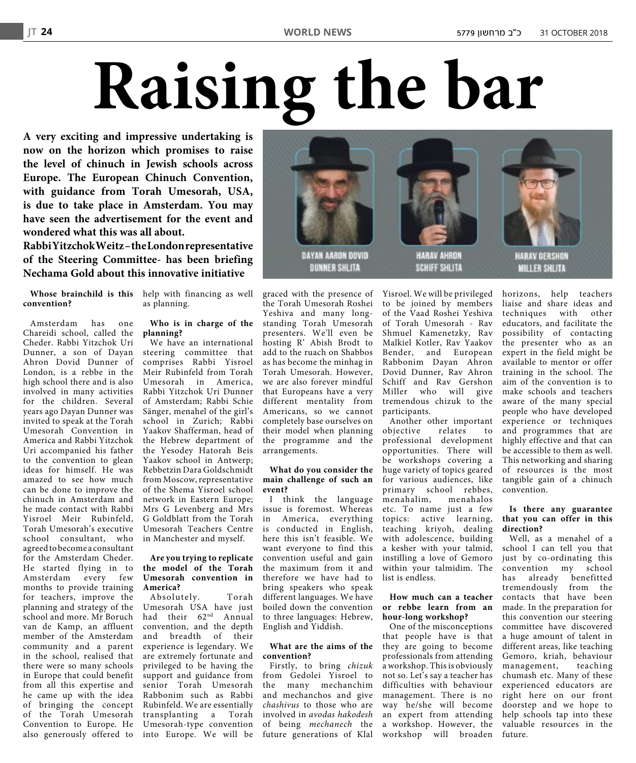# **Raising the bar**

**A very exciting and impressive undertaking is now on the horizon which promises to raise the level of chinuch in Jewish schools across Europe. The European Chinuch Convention, with guidance from Torah Umesorah, USA, is due to take place in Amsterdam. You may have seen the advertisement for the event and wondered what this was all about.**

**RabbiYitzchokWeitz–theLondonrepresentative of the Steering Committee- has been briefing Nechama Gold about this innovative initiative**

**convention?**

Amsterdam has one Chareidi school, called the Cheder. Rabbi Yitzchok Uri Dunner, a son of Dayan Ahron Dovid Dunner of London, is a rebbe in the high school there and is also involved in many activities for the children. Several years ago Dayan Dunner was invited to speak at the Torah Umesorah Convention in America and Rabbi Yitzchok Uri accompanied his father to the convention to glean ideas for himself. He was amazed to see how much can be done to improve the chinuch in Amsterdam and he made contact with Rabbi Yisroel Meir Rubinfeld, Torah Umesorah's executive school consultant, who agreed to becomeaconsultant for the Amsterdam Cheder. He started flying in to Amsterdam every few months to provide training for teachers, improve the planning and strategy of the school and more. Mr Boruch van de Kamp, an affluent member of the Amsterdam community and a parent in the school, realised that there were so many schools in Europe that could benefit from all this expertise and he came up with the idea of bringing the concept of the Torah Umesorah Convention to Europe. He also generously offered to

**Whose brainchild is this** help with financing as well as planning.

# **Who is in charge of the planning?**

We have an international steering committee that comprises Rabbi Yisroel Meir Rubinfeld from Torah Umesorah in America, Rabbi Yitzchok Uri Dunner of Amsterdam; Rabbi Schie Sänger, menahel of the girl's school in Zurich; Rabbi Yaakov Shafferman, head of the Hebrew department of the Yesodey Hatorah Beis Yaakov school in Antwerp; Rebbetzin Dara Goldschmidt from Moscow, representative of the Shema Yisroel school network in Eastern Europe; Mrs G Levenberg and Mrs G Goldblatt from the Torah Umesorah Teachers Centre in Manchester and myself.

#### **Are you trying to replicate the model of the Torah Umesorah convention in America?**

Absolutely. Torah Umesorah USA have just had their 62 nd Annual convention, and the depth and breadth of their experience is legendary. We are extremely fortunate and privileged to be having the support and guidance from senior Torah Umesorah Rabbonim such as Rabbi Rubinfeld. We are essentially transplanting a Torah Umesorah-type convention into Europe. We will be

graced with the presence of the Torah Umesorah Roshei Yeshiva and many longstanding Torah Umesorah presenters. We'll even be hosting R' Abish Brodt to add to the ruach on Shabbos as has become the minhag in Torah Umesorah. However, we are also forever mindful that Europeans have a very different mentality from Americans, so we cannot completely base ourselves on their model when planning the programme and the arrangements.

# **What do you consider the main challenge of such an event?**

I think the language issue is foremost. Whereas in America, everything is conducted in English, here this isn't feasible. We want everyone to find this convention useful and gain the maximum from it and therefore we have had to bring speakers who speak different languages. We have boiled down the convention to three languages: Hebrew, English and Yiddish.

# **What are the aims of the convention?**

Firstly, to bring chizuk from Gedolei Yisroel to the many mechanchim and mechanchos and give chashivus to those who are involved in avodas hakodesh of being mechanech the future generations of Klal

Yisroel. We will be privileged to be joined by members of the Vaad Roshei Yeshiva of Torah Umesorah - Rav Shmuel Kamenetzky, Rav Malkiel Kotler, Rav Yaakov Bender, and European Rabbonim Dayan Ahron Dovid Dunner, Rav Ahron Schiff and Rav Gershon Miller who will give tremendous chizuk to the participants.

objective relates to professional development opportunities. There will be workshops covering a huge variety of topics geared for various audiences, like primary school rebbes,<br>menahalim, menahalos menahalos etc. To name just a few topics: active learning, teaching kriyoh, dealing with adolescence, building a kesher with your talmid, instilling a love of Gemoro within your talmidim. The list is endless.

# **How much can a teacher or rebbe learn from an hour-long workshop?**

One of the misconceptions that people have is that they are going to become professionals from attending a workshop. Thisis obviously not so. Let's say a teacher has difficulties with behaviour management. There is no way he/she will become an expert from attending a workshop. However, the workshop will broaden

Another other important experience or techniques horizons, help teachers liaise and share ideas and techniques with other educators, and facilitate the possibility of contacting the presenter who as an expert in the field might be available to mentor or offer training in the school. The aim of the convention is to make schools and teachers aware of the many special people who have developed and programmes that are highly effective and that can be accessible to them as well. This networking and sharing of resources is the most tangible gain of a chinuch convention.

#### **Is there any guarantee that you can offer in this direction?**

Well, as a menahel of a school I can tell you that just by co-ordinating this convention my school has already benefitted tremendously from the contacts that have been made. In the preparation for this convention our steering committee have discovered a huge amount of talent in different areas, like teaching Gemoro, kriah, behaviour management, teaching chumash etc. Many of these experienced educators are right here on our front doorstep and we hope to help schools tap into these valuable resources in the future.